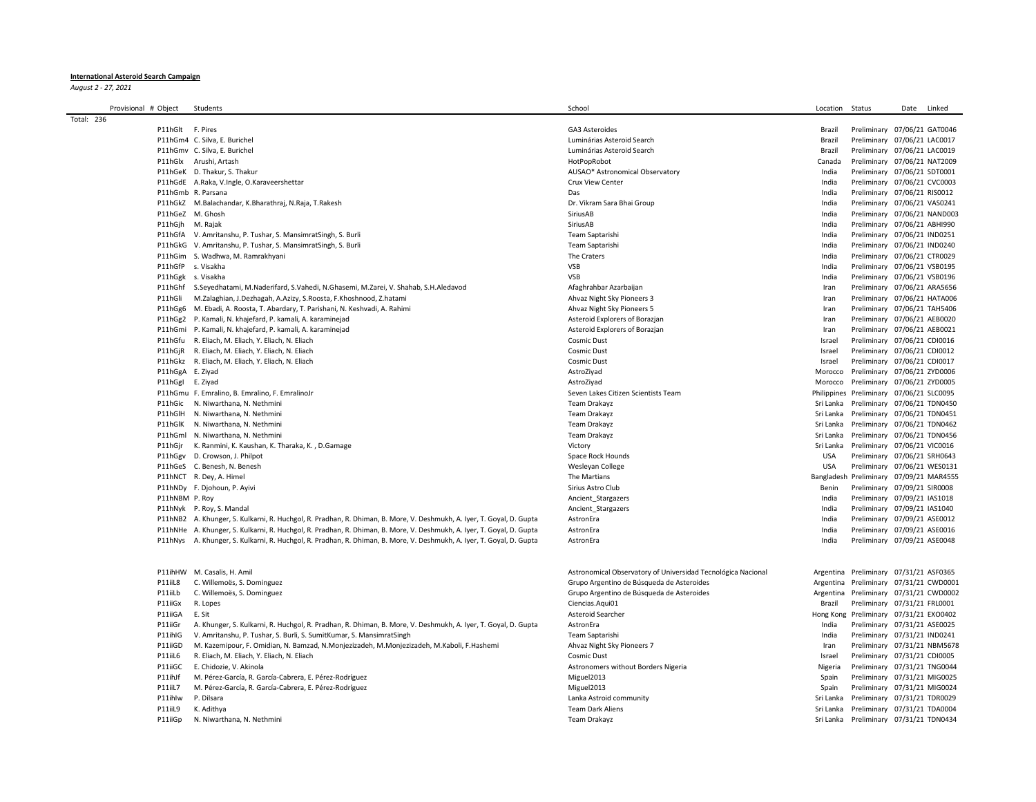## **International Asteroid Search Campaign**

*August 2 - 27, 2021*

| Provisional # Object | Students                                                                                                              | School                                                       | Location     | Status                                 | Date | Linked |
|----------------------|-----------------------------------------------------------------------------------------------------------------------|--------------------------------------------------------------|--------------|----------------------------------------|------|--------|
| Total: 236           |                                                                                                                       |                                                              |              |                                        |      |        |
|                      | P11hGlt F. Pires                                                                                                      | GA3 Asteroides                                               | Brazil       | Preliminary 07/06/21 GAT0046           |      |        |
|                      | P11hGm4 C. Silva, E. Burichel                                                                                         | Luminárias Asteroid Search                                   | Brazil       | Preliminary 07/06/21 LAC0017           |      |        |
|                      | P11hGmv C. Silva, E. Burichel                                                                                         | Luminárias Asteroid Search                                   | Brazil       | Preliminary 07/06/21 LAC0019           |      |        |
|                      | P11hGlx Arushi, Artash                                                                                                | HotPopRobot                                                  | Canada       | Preliminary 07/06/21 NAT2009           |      |        |
|                      | P11hGeK D. Thakur, S. Thakur                                                                                          | AUSAO* Astronomical Observatory                              | India        | Preliminary 07/06/21 SDT0001           |      |        |
|                      | P11hGdE A.Raka, V.Ingle, O.Karaveershettar                                                                            | Crux View Center                                             | India        | Preliminary 07/06/21 CVC0003           |      |        |
|                      | P11hGmb R. Parsana                                                                                                    | Das                                                          | India        | Preliminary 07/06/21 RIS0012           |      |        |
|                      | P11hGkZ M.Balachandar, K.Bharathraj, N.Raja, T.Rakesh                                                                 | Dr. Vikram Sara Bhai Group                                   | India        | Preliminary 07/06/21 VAS0241           |      |        |
|                      | P11hGeZ M. Ghosh                                                                                                      | SiriusAB                                                     | India        | Preliminary 07/06/21 NAND003           |      |        |
|                      | P11hGjh M. Rajak                                                                                                      | SiriusAB                                                     | India        | Preliminary 07/06/21 ABHI990           |      |        |
|                      | P11hGfA V. Amritanshu, P. Tushar, S. MansimratSingh, S. Burli                                                         | Team Saptarishi                                              | India        | Preliminary 07/06/21 IND0251           |      |        |
|                      | P11hGkG V. Amritanshu, P. Tushar, S. MansimratSingh, S. Burli                                                         | Team Saptarishi                                              | India        | Preliminary 07/06/21 IND0240           |      |        |
|                      | P11hGim S. Wadhwa, M. Ramrakhyani                                                                                     | The Craters                                                  | India        | Preliminary 07/06/21 CTR0029           |      |        |
|                      | P11hGfP s. Visakha                                                                                                    | <b>VSB</b>                                                   | India        | Preliminary 07/06/21 VSB0195           |      |        |
|                      | P11hGgk s. Visakha                                                                                                    | <b>VSB</b>                                                   | India        | Preliminary 07/06/21 VSB0196           |      |        |
|                      | P11hGhf S.Seyedhatami, M.Naderifard, S.Vahedi, N.Ghasemi, M.Zarei, V. Shahab, S.H.Aledavod                            | Afaghrahbar Azarbaijan                                       | Iran         | Preliminary 07/06/21 ARA5656           |      |        |
| P11hGli              | M.Zalaghian, J.Dezhagah, A.Azizy, S.Roosta, F.Khoshnood, Z.hatami                                                     | Ahvaz Night Sky Pioneers 3                                   |              | Preliminary 07/06/21 HATA006           |      |        |
|                      | P11hGg6 M. Ebadi, A. Roosta, T. Abardary, T. Parishani, N. Keshvadi, A. Rahimi                                        | Ahvaz Night Sky Pioneers 5                                   | Iran<br>Iran | Preliminary 07/06/21 TAH5406           |      |        |
|                      |                                                                                                                       |                                                              |              |                                        |      |        |
|                      | P11hGg2 P. Kamali, N. khajefard, P. kamali, A. karaminejad                                                            | Asteroid Explorers of Borazjan                               | Iran         | Preliminary 07/06/21 AEB0020           |      |        |
|                      | P11hGmi P. Kamali, N. khajefard, P. kamali, A. karaminejad                                                            | Asteroid Explorers of Borazjan                               | Iran         | Preliminary 07/06/21 AEB0021           |      |        |
|                      | P11hGfu R. Eliach, M. Eliach, Y. Eliach, N. Eliach                                                                    | Cosmic Dust                                                  | Israel       | Preliminary 07/06/21 CDI0016           |      |        |
|                      | P11hGjR R. Eliach, M. Eliach, Y. Eliach, N. Eliach                                                                    | Cosmic Dust                                                  | Israel       | Preliminary 07/06/21 CDI0012           |      |        |
|                      | P11hGkz R. Eliach, M. Eliach, Y. Eliach, N. Eliach                                                                    | Cosmic Dust                                                  | Israel       | Preliminary 07/06/21 CDI0017           |      |        |
|                      | P11hGgA E. Ziyad                                                                                                      | AstroZiyad                                                   | Morocco      | Preliminary 07/06/21 ZYD0006           |      |        |
|                      | P11hGgI E. Ziyad                                                                                                      | AstroZiyad                                                   | Morocco      | Preliminary 07/06/21 ZYD0005           |      |        |
|                      | P11hGmu F. Emralino, B. Emralino, F. EmralinoJr                                                                       | Seven Lakes Citizen Scientists Team                          | Philippines  | Preliminary 07/06/21 SLC0095           |      |        |
| P11hGic              | N. Niwarthana, N. Nethmini                                                                                            | Team Drakayz                                                 | Sri Lanka    | Preliminary 07/06/21 TDN0450           |      |        |
| P11hGlH              | N. Niwarthana, N. Nethmini                                                                                            | Team Drakayz                                                 | Sri Lanka    | Preliminary 07/06/21 TDN0451           |      |        |
|                      | P11hGlK N. Niwarthana, N. Nethmini                                                                                    | Team Drakayz                                                 | Sri Lanka    | Preliminary 07/06/21 TDN0462           |      |        |
| P11hGml              | N. Niwarthana, N. Nethmini                                                                                            | Team Drakayz                                                 | Sri Lanka    | Preliminary 07/06/21 TDN0456           |      |        |
| P11hGjr              | K. Ranmini, K. Kaushan, K. Tharaka, K., D.Gamage                                                                      | Victory                                                      | Sri Lanka    | Preliminary 07/06/21 VIC0016           |      |        |
|                      | P11hGgv D. Crowson, J. Philpot                                                                                        | Space Rock Hounds                                            | <b>USA</b>   | Preliminary 07/06/21 SRH0643           |      |        |
|                      | P11hGeS C. Benesh, N. Benesh                                                                                          | Wesleyan College                                             | <b>USA</b>   | Preliminary 07/06/21 WES0131           |      |        |
|                      | P11hNCT R. Dey, A. Himel                                                                                              | The Martians                                                 | Bangladesh   | Preliminary 07/09/21 MAR4555           |      |        |
|                      | P11hNDy F. Djohoun, P. Ayivi                                                                                          | Sirius Astro Club                                            | Benin        | Preliminary 07/09/21 SIR0008           |      |        |
|                      | P11hNBM P. Roy                                                                                                        | Ancient Stargazers                                           | India        | Preliminary 07/09/21 IAS1018           |      |        |
|                      | P11hNyk P. Roy, S. Mandal                                                                                             | Ancient Stargazers                                           | India        | Preliminary 07/09/21 IAS1040           |      |        |
|                      | P11hNB2 A. Khunger, S. Kulkarni, R. Huchgol, R. Pradhan, R. Dhiman, B. More, V. Deshmukh, A. Iyer, T. Goyal, D. Gupta | AstronEra                                                    | India        | Preliminary 07/09/21 ASE0012           |      |        |
|                      | P11hNHe A. Khunger, S. Kulkarni, R. Huchgol, R. Pradhan, R. Dhiman, B. More, V. Deshmukh, A. Iyer, T. Goyal, D. Gupta | AstronEra                                                    | India        | Preliminary 07/09/21 ASE0016           |      |        |
|                      | P11hNys A. Khunger, S. Kulkarni, R. Huchgol, R. Pradhan, R. Dhiman, B. More, V. Deshmukh, A. Iyer, T. Goyal, D. Gupta | AstronEra                                                    | India        | Preliminary 07/09/21 ASE0048           |      |        |
|                      | P11ihHW M. Casalis, H. Amil                                                                                           | Astronomical Observatory of Universidad Tecnológica Nacional |              | Argentina Preliminary 07/31/21 ASF0365 |      |        |
| P11iiL8              | C. Willemoës, S. Dominguez                                                                                            | Grupo Argentino de Búsqueda de Asteroides                    |              | Argentina Preliminary 07/31/21 CWD0001 |      |        |
| P11iiLb              | C. Willemoës, S. Dominguez                                                                                            | Grupo Argentino de Búsqueda de Asteroides                    | Argentina    | Preliminary 07/31/21 CWD0002           |      |        |
| P11iiGx              | R. Lopes                                                                                                              | Ciencias.Aqui01                                              | Brazil       | Preliminary 07/31/21 FRL0001           |      |        |
| P11iiGA              | E. Sit                                                                                                                | Asteroid Searcher                                            | Hong Kong    | Preliminary 07/31/21 EXO0402           |      |        |
| P11iiGr              | A. Khunger, S. Kulkarni, R. Huchgol, R. Pradhan, R. Dhiman, B. More, V. Deshmukh, A. Iyer, T. Goyal, D. Gupta         | AstronEra                                                    | India        | Preliminary 07/31/21 ASE0025           |      |        |
| P11ihIG              | V. Amritanshu, P. Tushar, S. Burli, S. SumitKumar, S. MansimratSingh                                                  | Team Saptarishi                                              | India        | Preliminary 07/31/21 IND0241           |      |        |
| P11iiGD              | M. Kazemipour, F. Omidian, N. Bamzad, N. Monjezizadeh, M. Monjezizadeh, M. Kaboli, F. Hashemi                         | Ahvaz Night Sky Pioneers 7                                   | Iran         | Preliminary 07/31/21 NBM5678           |      |        |
| P11iiL6              | R. Eliach, M. Eliach, Y. Eliach, N. Eliach                                                                            | <b>Cosmic Dust</b>                                           | Israel       | Preliminary 07/31/21 CDI0005           |      |        |
| P11iiGC              | E. Chidozie, V. Akinola                                                                                               | Astronomers without Borders Nigeria                          | Nigeria      | Preliminary 07/31/21 TNG0044           |      |        |
| P11ihJf              | M. Pérez-García, R. García-Cabrera, E. Pérez-Rodríguez                                                                | Miguel2013                                                   | Spain        | Preliminary 07/31/21 MIG0025           |      |        |
| P11iiL7              | M. Pérez-García, R. García-Cabrera, E. Pérez-Rodríguez                                                                | Miguel2013                                                   | Spain        | Preliminary 07/31/21 MIG0024           |      |        |
| P11ihlw              | P. Dilsara                                                                                                            | Lanka Astroid community                                      | Sri Lanka    | Preliminary 07/31/21 TDR0029           |      |        |
| P11iiL9              | K. Adithya                                                                                                            | <b>Team Dark Aliens</b>                                      | Sri Lanka    | Preliminary 07/31/21 TDA0004           |      |        |
| P11iiGp              | N. Niwarthana, N. Nethmini                                                                                            | Team Drakayz                                                 |              | Sri Lanka Preliminary 07/31/21 TDN0434 |      |        |
|                      |                                                                                                                       |                                                              |              |                                        |      |        |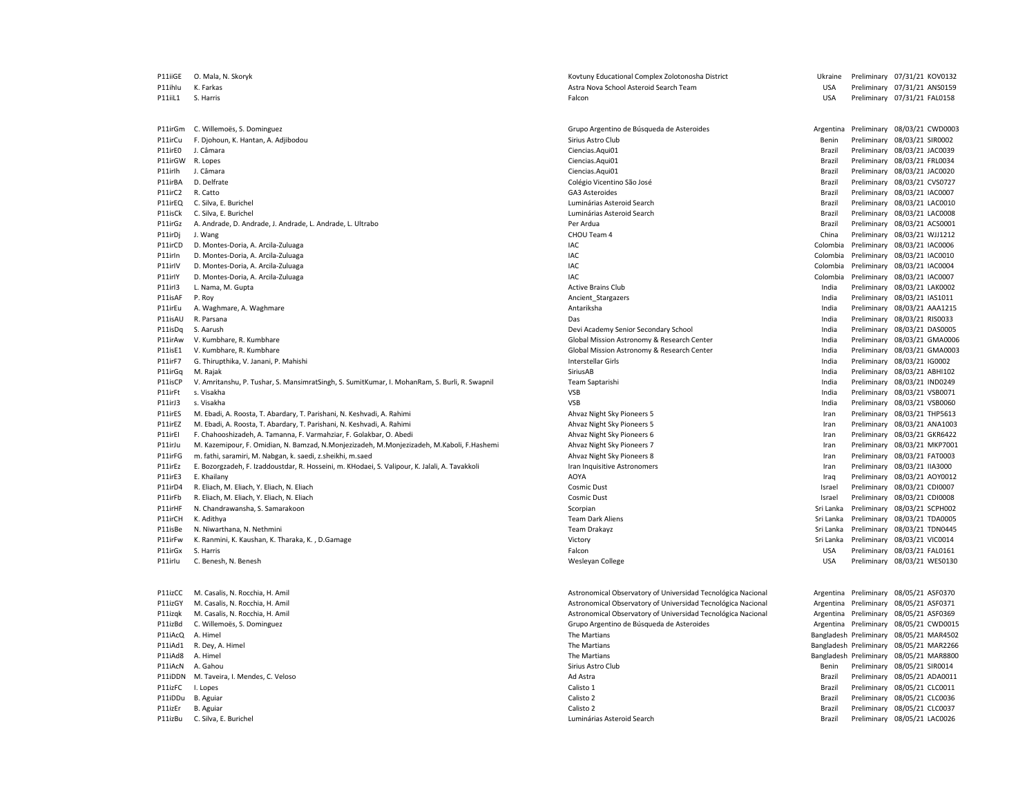P11isCP V. Amritanshu, P. Tushar, S. MansimratSingh, S. SumitKumar, I. MohanRam, S. Burli, R. Swapnil Team Saptarishi Team Saptarishi P11izBu C. Silva, E. Burichel Luminárias Asteroid Search Brazil Preliminary 08/05/21 LAC0026

P11iiGE O. Mala, N. Skoryk School and March 2012 Complex Zolotonosha District Complex Zolotonosha District District District Preliminary 07/31/21 KOV0132 P11ihlu K. Farkas San Markas Astra Nova School Asteroid Search Team Markas Astra Nova School Asteroid Search Team Nova School Asteroid Search Team USA Preliminary 07/31/21 ANS0159<br>P11iil1 S. Harris 2021/21 FAI0158 Palcon **P11iilipiilipiilise Expansion Community** Community Community Community Community Community Community Community Community Community Community Community Community Community Community Community Community Community Com P11irGm C. Willemoës, S. Dominguez Grupo Argentino de Búsqueda de Asteroides Argentina Preliminary 08/03/21 CWD0003 P11irCu F. Djohoun, K. Hantan, A. Adjibodou Samus Sirius Astro Club Sirius Astro Club Sirius Astro Club Sirius Astro Club Sirius Astro Club Benin Preliminary 08/03/21 SIR0002<br>P11irEO J. Câmara Preliminary 08/03/21 JAC0039 Preliminary 08/03/21 JAC0039 P11irGW R. Lopes Ciencias.Aqui01 Brazil Preliminary 08/03/21 FRL0034 P11irIh J. Câmara Ciencias.Aqui01 Brazil Preliminary 08/03/21 JAC0020 P11irBA D. Delfrate 
Partico Colégio Vicentino São José Colégio Vicentino São José Colégio Vicentino São José Preliminary 18/03/21 CVS0727<br>Principal de Colégio Colégio Vicentino São José Colégio Vicentino São José Prelimin P11irC2 R. Catto GA3 Asteroides Brazil Preliminary 08/03/21 IAC0007 P11irEQ C. Silva, E. Burichel Search Brazil Preliminary 08/03/21 LAC0010 P11isCk C. Silva, E. Burichel **Example 2016** 2017 12:0008 Luminárias Asteroid Search Brazil Preliminary 08/03/21 LAC0008 P11irGz A. Andrade, D. Andrade, J. Andrade, L. Andrade, L. Ultrabo Per Ardua Brazil Preliminary 08/03/21 ACS0001 P11irDj J. Wang external part of the contract of the CHOU Team 4 CHOU Team 4 China Preliminary 08/03/21 WJJ1212 P11irCD D. Montes-Doria, A. Arcila-Zuluaga and a colombia Preliminary 08/03/21 IAC0006 P11irln D. Montes-Doria, A. Arcila-Zuluaga entropic and the state of the state of the state of the state of the state of the state of the state of the state of the SAC Colombia Preliminary 08/03/21 IAC0010 P11irlV D. Montes-Doria, A. Arcila-Zuluaga and a compare a material control of the colombia Preliminary 08/03/21 IAC0004 P11irlY D. Montes-Doria, A. Arcila-Zuluaga and a compare a material control of the colombia Preliminary 08/03/21 IAC0007 P11irl3 L. Nama, M. Gupta Active Active Brains Club Active Brains Club Club India Preliminary 08/03/21 LAK0002 P11isAF P. Roy Ancient\_Stargazers India Preliminary 08/03/21 IAS1011 P11irEu A. Waghmare, A. Waghmare **Antarika India Preliminary 08/03/21 AAA1215 Preliminary 08/03/21 AAA1215** P11isAU R. Parsana Das India Preliminary 08/03/21 RIS0033 P11isDq S. Aarush Devi Academy Senior Secondary School Devi Academy Senior Secondary School India Preliminary 08/03/21 DAS0005 P11irAw V. Kumbhare, R. Kumbhare CRIA Mission Astronomy & Research Center Center CRIA Chinary 08/03/21 GMA0006 P11isE1 V. Kumbhare, R. Kumbhare Maximum Research Center Center Center The Clobal Mission Astronomy & Research Center The India Preliminary 08/03/21 GMA0003 P11irF7 G. Thirupthika, V. Janani, P. Mahishi **Interstellar Girls** Interstellar Girls Interstellar Girls Interstellar Girls Interstellar Girls Interstellar Girls Interstellar Girls India Preliminary 08/03/21 IG0002 P11irGq M. Rajak Preliminary 08/03/21 ABHI102<br>P11isCP V. Amritanshu, P. Tushar, S. MansimratSingh, S. SumitKumar, I. MohanRam, S. Burli, R. Swapnil New Team Saptarishi New Team Saptarishi New York Channel David Preliminary P11irFt s. Visakha VSB India Preliminary 08/03/21 VSB0071 P11irJ3 s. Visakha Naman and the Samuel Controller and the VSB Naman and the VSB Naman and Preliminary 08/03/21 VSB0060 P11irES M. Ebadi, A. Roosta, T. Abardary, T. Parishani, N. Keshvadi, A. Rahimi Ahvaz Night Sky Pioneers Physoneers 5 Iran Preliminary 08/03/21 THP5613 P11irEZ M. Ebadi, A. Roosta, T. Abardary, T. Parishani, N. Keshvadi, A. Rahimi Ahvaz Night Sky Pioneers Photosta, T. Abardary, T. Parishani, N. Keshvadi, A. Rahimi Ahvaz Night Sky Pioneers 5 Iran Preliminary 08/03/21 ANA10 P11irEI F. Chahooshizadeh, A. Tamanna, F. Varmahziar, F. Golakbar, O. Abedi Ahvaz Night Sky Pioneers 6 Iran Preliminary 08/03/21 GKR6422 P11irJu M. Kazemipour, F. Omidian, N. Bamzad, N.Monjezizadeh, M. Monjezizadeh, M. Kaboli, F. Hashemi Ahvaz Night Sky Pioneers 7 Preliminary 08/03/21 MKP7001 P11irFG m. fathi, saramiri, M. Nabgan, k. saedi, z.sheikhi, m.saed Ahvaz Night Sky Pioneers Preliminary 198/03/21 Manual David David David David David David David David David David David David David David David David David P11irEz E. Bozorgzadeh, F. Izaddoustdar, R. Hosseini, m. KHodaei, S. Valipour, K. Jalali, A. Tavakkoli Iran Inquisitive Astronomers and the stronomers and the control of the Preliminary 08/03/21 IIA3000 and Preliminary 08/ P11irE3 E. Khailany AOYA Iraq Preliminary 08/03/21 AOY0012 P11irD4 R. Eliach, M. Eliach, M. Eliach, M. Eliach, M. Eliach Cosmic Cosmic Dust Israel Preliminary 08/03/21 CDI0007 P11irFb R. Eliach, M. Eliach, M. Eliach, M. Eliach, M. Eliach Cosmic Cosmic Dust Israel Preliminary 08/03/21 CDI0008 P11irHF N. Chandrawansha, S. Samarakoon Scorpian Sri Lanka Preliminary 08/03/21 SCPH002 P11irCH K. Adithya **Team Dark Aliens Sri Lanka Preliminary 08/03/21 TDA0005** Team Dark Aliens Sri Lanka Preliminary 08/03/21 TDA0005 P11isBe N. Niwarthana, N. Nethmini enterthana the second second team Drakayz Sri Lanka Preliminary 08/03/21 TDN0445 P11irFw K. Ranmini, K. Kaushan, K. Tharaka, K., D.Gamage Victor Samuel Compare Victory Sri Lanka Preliminary 08/03/21 VIC0014 P11irGx S. Harris Falcon USA Preliminary 08/03/21 FAL0161 P11irlu C. Benesh, N. Benesh Newsleyan Samuel College Newsleyan College Newsleyan College Newsleyan College Newsleyan College USA Preliminary 08/03/21 WES0130 P11izCC M. Casalis, N. Rocchia, H. Amil Astronomical Observatory of Universidad Tecnológica Nacional Argentina Preliminary 08/05/21 ASF0370 P11izGY M. Casalis, N. Rocchia, H. Amil Astronomical Observatory of Universidad Tecnológica Nacional Argentina Preliminary 08/05/21 ASF0371 P11izqk M. Casalis, N. Rocchia, H. Amil Astronomical Observatory of Universidad Tecnológica Nacional Argentina Preliminary 08/05/21 ASF0369 P11izBd C. Willemoës, S. Dominguez Camples and the Camples of Crupo Argentino de Asteroides Camples and Argentina Preliminary 08/05/21 CWD0015<br>P11iAcQ A. Himel Bangladesh Preliminary 08/05/21 MAR4502 P11iAcQ A. Himel (9/05/21 MAR4502) P11iAcQ A. Himel The Martians Shangladesh Preliminary 19921 MAR4502<br>P11iAd1 R. Dev, A. Himel (9/05/21 MAR2266) Preliminary 08/05/21 MAR2266 P11 The Martians **P111iAdded Strategies and Strategies Control** Bangladesh Preliminary 08/05/21 MAR2266 P11iAd8 A. Himel entertainment and the Martians of the Martians and the Martians of the Martians of the Martians of the Martians of the Martians of the Martians of the Martians of the Martians of the Martians of the Martia entility and the Sirius Astro Club Sirius Astro Club Sirius Astro Club and the Sirius Astro Club Benin Preliminary 08/05/21 SIR0014<br>P11iDDN M.Taveira.I.Mendes.C.Veloso https://www.com/sirius Advantationary Advantationary 2 P11iDDN M. Taveira, I. Mendes, C. Veloso Ad Astra Brazil Preliminary 08/05/21 ADA0011 P11izFC I. Lopes Calisto 1 Brazil Preliminary 08/05/21 CLC0011 P11iDDu B. Aguiar **Product Calisto 2** Calisto 2 Calisto 2 Calisto 2 **Calisto 2** Brazil Preliminary 08/05/21 CLC0036 P11izEr B. Aguiar Calisto 2 Brazil Preliminary 08/05/21 CLC0037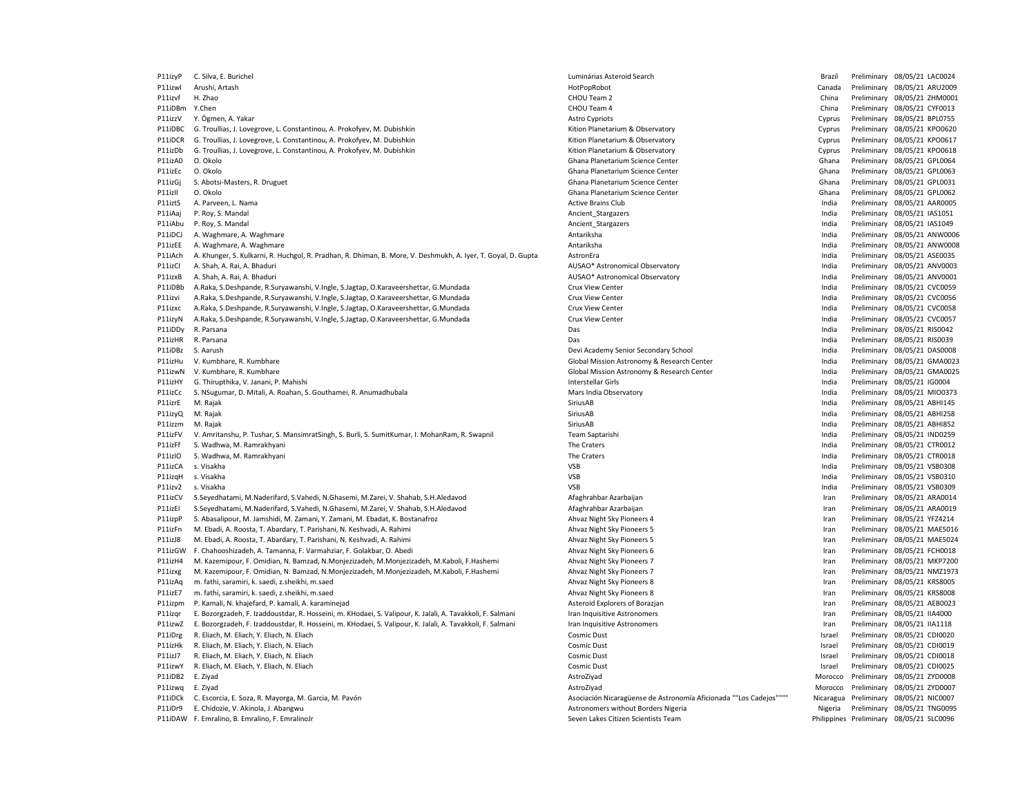| P11izyP | C. Silva, E. Burichel                                                                                         | Luminárias Asteroid Search                                         | Brazil    | Preliminary 08/05/21 LAC0024             |
|---------|---------------------------------------------------------------------------------------------------------------|--------------------------------------------------------------------|-----------|------------------------------------------|
| P11izwl | Arushi, Artash                                                                                                | HotPopRobot                                                        | Canada    | Preliminary 08/05/21 ARU2009             |
| P11izvf | H. Zhao                                                                                                       | CHOU Team 2                                                        | China     | Preliminary 08/05/21 ZHM000:             |
| P11iDBm | Y.Chen                                                                                                        | CHOU Team 4                                                        | China     | Preliminary 08/05/21 CYF0013             |
| P11izzV | Y. Ögmen, A. Yakar                                                                                            | <b>Astro Cypriots</b>                                              | Cyprus    | Preliminary 08/05/21 BPL0755             |
| P11iDBC | G. Troullias, J. Lovegrove, L. Constantinou, A. Prokofyev, M. Dubishkin                                       | Kition Planetarium & Observatory                                   | Cyprus    | Preliminary 08/05/21 KPO0620             |
| P11iDCR | G. Troullias, J. Lovegrove, L. Constantinou, A. Prokofyev, M. Dubishkin                                       | Kition Planetarium & Observatory                                   | Cyprus    | Preliminary 08/05/21 KPO0617             |
| P11izDb | G. Troullias, J. Lovegrove, L. Constantinou, A. Prokofyev, M. Dubishkin                                       | Kition Planetarium & Observatory                                   | Cyprus    | Preliminary 08/05/21 KPO0618             |
| P11izA0 | O. Okolo                                                                                                      | Ghana Planetarium Science Center                                   | Ghana     | Preliminary 08/05/21 GPL0064             |
| P11izEc | O. Okolo                                                                                                      | Ghana Planetarium Science Center                                   | Ghana     | Preliminary 08/05/21 GPL0063             |
|         |                                                                                                               |                                                                    | Ghana     |                                          |
| P11izGj | S. Abotsi-Masters, R. Druguet                                                                                 | Ghana Planetarium Science Center                                   |           | Preliminary 08/05/21 GPL0031             |
| P11izII | O. Okolo                                                                                                      | Ghana Planetarium Science Center                                   | Ghana     | Preliminary 08/05/21 GPL0062             |
| P11iztS | A. Parveen, L. Nama                                                                                           | <b>Active Brains Club</b>                                          | India     | Preliminary 08/05/21 AAR0005             |
| P11iAaj | P. Roy, S. Mandal                                                                                             | Ancient Stargazers                                                 | India     | Preliminary 08/05/21 IAS1051             |
| P11iAbu | P. Roy, S. Mandal                                                                                             | Ancient Stargazers                                                 | India     | Preliminary 08/05/21 IAS1049             |
| P11iDCJ | A. Waghmare, A. Waghmare                                                                                      | Antariksha                                                         | India     | Preliminary 08/05/21 ANW000              |
| P11izEE | A. Waghmare, A. Waghmare                                                                                      | Antariksha                                                         | India     | Preliminary 08/05/21 ANW000              |
| P11iAch | A. Khunger, S. Kulkarni, R. Huchgol, R. Pradhan, R. Dhiman, B. More, V. Deshmukh, A. Iyer, T. Goyal, D. Gupta | AstronEra                                                          | India     | Preliminary 08/05/21 ASE0035             |
| P11izCl | A. Shah, A. Rai, A. Bhaduri                                                                                   | AUSAO* Astronomical Observatory                                    | India     | Preliminary 08/05/21 ANV0003             |
| P11izxB | A. Shah, A. Rai, A. Bhaduri                                                                                   | AUSAO* Astronomical Observatory                                    | India     | Preliminary 08/05/21 ANV0001             |
| P11iDBb | A.Raka, S.Deshpande, R.Suryawanshi, V.Ingle, S.Jagtap, O.Karaveershettar, G.Mundada                           | Crux View Center                                                   | India     | Preliminary 08/05/21 CVC0059             |
| P11izvi | A.Raka, S.Deshpande, R.Suryawanshi, V.Ingle, S.Jagtap, O.Karaveershettar, G.Mundada                           | Crux View Center                                                   | India     | Preliminary 08/05/21 CVC0056             |
| P11izxc | A.Raka, S.Deshpande, R.Suryawanshi, V.Ingle, S.Jagtap, O.Karaveershettar, G.Mundada                           | Crux View Center                                                   | India     | Preliminary 08/05/21 CVC0058             |
| P11izyN | A.Raka, S.Deshpande, R.Suryawanshi, V.Ingle, S.Jagtap, O.Karaveershettar, G.Mundada                           | Crux View Center                                                   | India     | Preliminary 08/05/21 CVC0057             |
| P11iDDy | R. Parsana                                                                                                    | Das                                                                | India     | Preliminary 08/05/21 RIS0042             |
| P11izHR | R. Parsana                                                                                                    | Das                                                                | India     | Preliminary 08/05/21 RIS0039             |
| P11iDBz | S. Aarush                                                                                                     | Devi Academy Senior Secondary School                               | India     | Preliminary 08/05/21 DAS0008             |
|         |                                                                                                               |                                                                    |           |                                          |
| P11izHu | V. Kumbhare, R. Kumbhare                                                                                      | Global Mission Astronomy & Research Center                         | India     | Preliminary 08/05/21 GMA002              |
| P11izwN | V. Kumbhare, R. Kumbhare                                                                                      | Global Mission Astronomy & Research Center                         | India     | Preliminary 08/05/21 GMA002              |
| P11izHY | G. Thirupthika, V. Janani, P. Mahishi                                                                         | <b>Interstellar Girls</b>                                          | India     | Preliminary 08/05/21 IG0004              |
| P11izCc | S. NSugumar, D. Mitali, A. Roahan, S. Gouthamei, R. Anumadhubala                                              | Mars India Observatory                                             | India     | Preliminary 08/05/21 MIO0373             |
| P11izrE | M. Rajak                                                                                                      | SiriusAB                                                           | India     | Preliminary 08/05/21 ABHI145             |
| P11izyQ | M. Rajak                                                                                                      | SiriusAB                                                           | India     | Preliminary 08/05/21 ABHI258             |
| P11izzm | M. Rajak                                                                                                      | SiriusAB                                                           | India     | Preliminary 08/05/21 ABHI852             |
| P11izFV | V. Amritanshu, P. Tushar, S. MansimratSingh, S. Burli, S. SumitKumar, I. MohanRam, R. Swapnil                 | Team Saptarishi                                                    | India     | Preliminary 08/05/21 IND0259             |
| P11izFf | S. Wadhwa, M. Ramrakhyani                                                                                     | The Craters                                                        | India     | Preliminary 08/05/21 CTR0012             |
| P11izIO | S. Wadhwa, M. Ramrakhyani                                                                                     | The Craters                                                        | India     | Preliminary 08/05/21 CTR0018             |
| P11izCA | s. Visakha                                                                                                    | VSB                                                                | India     | Preliminary 08/05/21 VSB0308             |
| P11izqH | s. Visakha                                                                                                    | <b>VSB</b>                                                         | India     | Preliminary 08/05/21 VSB0310             |
| P11izv2 | s. Visakha                                                                                                    | VSB                                                                | India     | Preliminary 08/05/21 VSB0309             |
| P11izCV | S.Seyedhatami, M.Naderifard, S.Vahedi, N.Ghasemi, M.Zarei, V. Shahab, S.H.Aledavod                            | Afaghrahbar Azarbaijan                                             | Iran      | Preliminary 08/05/21 ARA0014             |
| P11izEI | S.Seyedhatami, M.Naderifard, S.Vahedi, N.Ghasemi, M.Zarei, V. Shahab, S.H.Aledavod                            | Afaghrahbar Azarbaijan                                             | Iran      | Preliminary 08/05/21 ARA0019             |
| P11izpP | S. Abasalipour, M. Jamshidi, M. Zamani, Y. Zamani, M. Ebadat, K. Bostanafroz                                  | Ahvaz Night Sky Pioneers 4                                         | Iran      | Preliminary 08/05/21 YFZ4214             |
| P11izFn | M. Ebadi, A. Roosta, T. Abardary, T. Parishani, N. Keshvadi, A. Rahimi                                        | Ahvaz Night Sky Pioneers 5                                         | Iran      | Preliminary 08/05/21 MAE501              |
| P11izJ8 | M. Ebadi, A. Roosta, T. Abardary, T. Parishani, N. Keshvadi, A. Rahimi                                        | Ahvaz Night Sky Pioneers 5                                         | Iran      | Preliminary 08/05/21 MAE5024             |
|         |                                                                                                               |                                                                    |           | Preliminary 08/05/21 FCH0018             |
| P11izGW | F. Chahooshizadeh, A. Tamanna, F. Varmahziar, F. Golakbar, O. Abedi                                           | Ahvaz Night Sky Pioneers 6                                         | Iran      |                                          |
| P11izH4 | M. Kazemipour, F. Omidian, N. Bamzad, N. Monjezizadeh, M. Monjezizadeh, M. Kaboli, F. Hashemi                 | Ahvaz Night Sky Pioneers 7                                         | Iran      | Preliminary 08/05/21 MKP7200             |
| P11izxg | M. Kazemipour, F. Omidian, N. Bamzad, N. Monjezizadeh, M. Monjezizadeh, M. Kaboli, F. Hashemi                 | Ahvaz Night Sky Pioneers 7                                         | Iran      | Preliminary 08/05/21 NMZ197              |
| P11izAa | m. fathi, saramiri, k. saedi, z.sheikhi, m.saed                                                               | Ahvaz Night Sky Pioneers 8                                         | Iran      | Preliminary 08/05/21 KRS8005             |
| P11izE7 | m. fathi, saramiri, k. saedi, z.sheikhi, m.saed                                                               | Ahvaz Night Sky Pioneers 8                                         | Iran      | Preliminary 08/05/21 KRS8008             |
| P11izpm | P. Kamali, N. khajefard, P. kamali, A. karaminejad                                                            | Asteroid Explorers of Borazjan                                     | Iran      | Preliminary 08/05/21 AEB0023             |
| P11izqr | E. Bozorgzadeh, F. Izaddoustdar, R. Hosseini, m. KHodaei, S. Valipour, K. Jalali, A. Tavakkoli, F. Salmani    | Iran Inquisitive Astronomers                                       | Iran      | Preliminary 08/05/21 IIA4000             |
| P11izwZ | E. Bozorgzadeh, F. Izaddoustdar, R. Hosseini, m. KHodaei, S. Valipour, K. Jalali, A. Tavakkoli, F. Salmani    | Iran Inquisitive Astronomers                                       | Iran      | Preliminary 08/05/21 IIA1118             |
| P11iDrg | R. Eliach, M. Eliach, Y. Eliach, N. Eliach                                                                    | <b>Cosmic Dust</b>                                                 | Israel    | Preliminary 08/05/21 CDI0020             |
| P11izHk | R. Eliach, M. Eliach, Y. Eliach, N. Eliach                                                                    | <b>Cosmic Dust</b>                                                 | Israel    | Preliminary 08/05/21 CDI0019             |
| P11izJ7 | R. Eliach, M. Eliach, Y. Eliach, N. Eliach                                                                    | <b>Cosmic Dust</b>                                                 | Israel    | Preliminary 08/05/21 CDI0018             |
| P11izwY | R. Eliach, M. Eliach, Y. Eliach, N. Eliach                                                                    | <b>Cosmic Dust</b>                                                 | Israel    | Preliminary 08/05/21 CDI0025             |
| P11iDB2 | E. Ziyad                                                                                                      | AstroZiyad                                                         | Morocco   | Preliminary 08/05/21 ZYD0008             |
| P11izwq | E. Ziyad                                                                                                      | AstroZiyad                                                         | Morocco   | Preliminary 08/05/21 ZYD0007             |
| P11iDCk | C. Escorcia, E. Soza, R. Mayorga, M. Garcia, M. Pavón                                                         | Asociación Nicaragüense de Astronomía Aficionada ""Los Cadejos"""" | Nicaragua | Preliminary 08/05/21 NIC0007             |
| P11iDr9 | E. Chidozie, V. Akinola, J. Abangwu                                                                           | Astronomers without Borders Nigeria                                | Nigeria   | Preliminary 08/05/21 TNG0095             |
|         | P11iDAW F. Emralino, B. Emralino, F. EmralinoJr                                                               | Seven Lakes Citizen Scientists Team                                |           | Philippines Preliminary 08/05/21 SLC0096 |
|         |                                                                                                               |                                                                    |           |                                          |

|    | Luminárias Asteroid Search                                         | Brazil         | Preliminary 08/05/21 LAC0024 |                  |                  |
|----|--------------------------------------------------------------------|----------------|------------------------------|------------------|------------------|
|    | HotPopRobot                                                        | Canada         | Preliminary                  | 08/05/21 ARU2009 |                  |
|    | CHOU Team 2                                                        | China          | Preliminary                  |                  | 08/05/21 ZHM0001 |
|    | CHOU Team 4                                                        | China          | Preliminary                  | 08/05/21 CYF0013 |                  |
|    | Astro Cypriots                                                     | Cyprus         | Preliminary 08/05/21 BPL0755 |                  |                  |
|    | Kition Planetarium & Observatory                                   | Cyprus         | Preliminary 08/05/21 KPO0620 |                  |                  |
|    | Kition Planetarium & Observatory                                   | Cyprus         | Preliminary                  | 08/05/21 KPO0617 |                  |
|    | Kition Planetarium & Observatory                                   | Cyprus         | Preliminary                  | 08/05/21 KPO0618 |                  |
|    | Ghana Planetarium Science Center                                   | Ghana          | Preliminary                  | 08/05/21 GPL0064 |                  |
|    | Ghana Planetarium Science Center                                   | Ghana          | Preliminary 08/05/21 GPL0063 |                  |                  |
|    | Ghana Planetarium Science Center                                   | Ghana          | Preliminary 08/05/21 GPL0031 |                  |                  |
|    | Ghana Planetarium Science Center                                   | Ghana          | Preliminary                  | 08/05/21 GPL0062 |                  |
|    | <b>Active Brains Club</b>                                          | India          | Preliminary                  | 08/05/21 AAR0005 |                  |
|    | Ancient_Stargazers                                                 | India          | Preliminary                  | 08/05/21 IAS1051 |                  |
|    | Ancient_Stargazers                                                 | India          | Preliminary 08/05/21 IAS1049 |                  |                  |
|    | Antariksha                                                         | India          | Preliminary 08/05/21 ANW0006 |                  |                  |
|    | Antariksha                                                         | India          | Preliminary                  |                  | 08/05/21 ANW0008 |
| ta | AstronEra                                                          | India          | Preliminary                  | 08/05/21 ASE0035 |                  |
|    | AUSAO* Astronomical Observatory                                    | India          | Preliminary                  | 08/05/21 ANV0003 |                  |
|    | AUSAO* Astronomical Observatory                                    | India          | Preliminary 08/05/21 ANV0001 |                  |                  |
|    | <b>Crux View Center</b>                                            | India          | Preliminary                  | 08/05/21 CVC0059 |                  |
|    | <b>Crux View Center</b>                                            | India          | Preliminary                  | 08/05/21 CVC0056 |                  |
|    | Crux View Center                                                   | India          | Preliminary                  | 08/05/21 CVC0058 |                  |
|    |                                                                    |                | Preliminary                  | 08/05/21 CVC0057 |                  |
|    | <b>Crux View Center</b><br>Das                                     | India<br>India |                              |                  |                  |
|    |                                                                    |                | Preliminary 08/05/21 RIS0042 |                  |                  |
|    | Das                                                                | India          | Preliminary                  | 08/05/21 RIS0039 |                  |
|    | Devi Academy Senior Secondary School                               | India          | Preliminary                  | 08/05/21 DAS0008 |                  |
|    | Global Mission Astronomy & Research Center                         | India          | Preliminary                  |                  | 08/05/21 GMA0023 |
|    | Global Mission Astronomy & Research Center                         | India          | Preliminary                  |                  | 08/05/21 GMA0025 |
|    | <b>Interstellar Girls</b>                                          | India          | Preliminary 08/05/21 IG0004  |                  |                  |
|    | Mars India Observatory                                             | India          | Preliminary                  | 08/05/21 MIO0373 |                  |
|    | SiriusAB                                                           | India          | Preliminary                  | 08/05/21 ABHI145 |                  |
|    | SiriusAB                                                           | India          | Preliminary                  | 08/05/21 ABHI258 |                  |
|    | SiriusAB                                                           | India          | Preliminary                  | 08/05/21 ABHI852 |                  |
|    | Team Saptarishi                                                    | India          | Preliminary                  | 08/05/21 IND0259 |                  |
|    | The Craters                                                        | India          | Preliminary 08/05/21 CTR0012 |                  |                  |
|    | The Craters                                                        | India          | Preliminary                  | 08/05/21 CTR0018 |                  |
|    | VSB                                                                | India          | Preliminary 08/05/21 VSB0308 |                  |                  |
|    | VSB                                                                | India          | Preliminary                  | 08/05/21 VSB0310 |                  |
|    | <b>VSB</b>                                                         | India          | Preliminary                  | 08/05/21 VSB0309 |                  |
|    | Afaghrahbar Azarbaijan                                             | Iran           | Preliminary 08/05/21 ARA0014 |                  |                  |
|    | Afaghrahbar Azarbaijan                                             | Iran           | Preliminary                  | 08/05/21 ARA0019 |                  |
|    | Ahvaz Night Sky Pioneers 4                                         | Iran           | Preliminary                  | 08/05/21 YFZ4214 |                  |
|    | Ahvaz Night Sky Pioneers 5                                         | Iran           | Preliminary                  |                  | 08/05/21 MAE5016 |
|    | Ahvaz Night Sky Pioneers 5                                         | Iran           | Preliminary 08/05/21 MAE5024 |                  |                  |
|    | Ahvaz Night Sky Pioneers 6                                         | Iran           | Preliminary                  | 08/05/21 FCH0018 |                  |
|    | Ahvaz Night Sky Pioneers 7                                         | Iran           | Preliminary                  |                  | 08/05/21 MKP7200 |
|    | Ahvaz Night Sky Pioneers 7                                         | Iran           | Preliminary                  |                  | 08/05/21 NMZ1973 |
|    | Ahvaz Night Sky Pioneers 8                                         | Iran           | Preliminary                  | 08/05/21 KRS8005 |                  |
|    | Ahvaz Night Sky Pioneers 8                                         | Iran           | Preliminary 08/05/21 KRS8008 |                  |                  |
|    | Asteroid Explorers of Borazjan                                     | Iran           | Preliminary                  | 08/05/21 AEB0023 |                  |
|    | Iran Inquisitive Astronomers                                       | Iran           | Preliminary                  | 08/05/21 IIA4000 |                  |
|    | Iran Inquisitive Astronomers                                       | Iran           | Preliminary                  | 08/05/21 IIA1118 |                  |
|    | Cosmic Dust                                                        | Israel         | Preliminary                  | 08/05/21 CDI0020 |                  |
|    | Cosmic Dust                                                        | Israel         | Preliminary 08/05/21 CDI0019 |                  |                  |
|    | <b>Cosmic Dust</b>                                                 | Israel         | Preliminary 08/05/21 CDI0018 |                  |                  |
|    | Cosmic Dust                                                        | Israel         | Preliminary                  | 08/05/21 CDI0025 |                  |
|    | AstroZiyad                                                         | Morocco        | Preliminary                  | 08/05/21 ZYD0008 |                  |
|    | AstroZiyad                                                         | Morocco        | Preliminary                  | 08/05/21 ZYD0007 |                  |
|    | Asociación Nicaragüense de Astronomía Aficionada ""Los Cadejos"""" | Nicaragua      | Preliminary                  | 08/05/21 NIC0007 |                  |
|    | Astronomers without Borders Nigeria                                | Nigeria        | Preliminary                  | 08/05/21 TNG0095 |                  |
|    | Seven Lakes Citizen Scientists Team                                | Philippines    | Preliminary                  | 08/05/21 SLC0096 |                  |
|    |                                                                    |                |                              |                  |                  |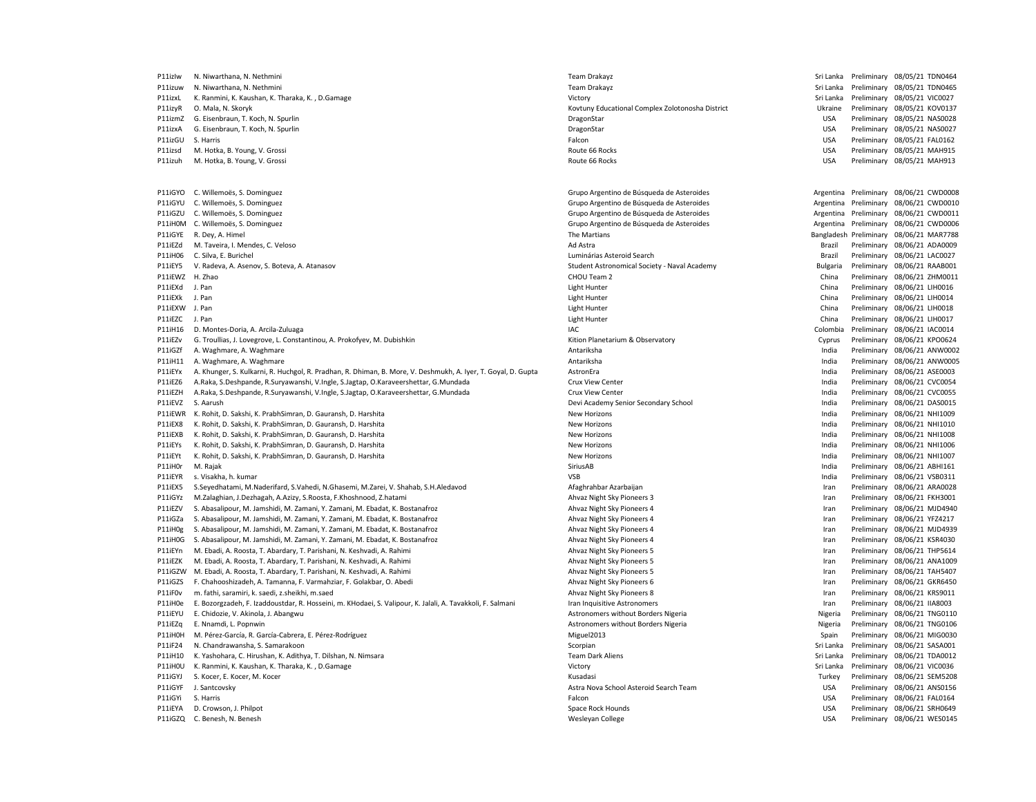| P11izlw         | N. Niwarthana, N. Nethmini                                                                                    | <b>Team Drakayz</b>                              | Sri Lanka  |             | Preliminary 08/05/21 TDN0464            |
|-----------------|---------------------------------------------------------------------------------------------------------------|--------------------------------------------------|------------|-------------|-----------------------------------------|
| P11izuw         | N. Niwarthana, N. Nethmini                                                                                    | <b>Team Drakayz</b>                              | Sri Lanka  |             | Preliminary 08/05/21 TDN0465            |
| P11izxL         | K. Ranmini, K. Kaushan, K. Tharaka, K., D. Gamage                                                             | Victory                                          | Sri Lanka  | Preliminary | 08/05/21 VIC0027                        |
| P11izyR         | O. Mala, N. Skoryk                                                                                            | Kovtuny Educational Complex Zolotonosha District | Ukraine    |             | Preliminary 08/05/21 KOV0137            |
| P11izmZ         | G. Eisenbraun, T. Koch, N. Spurlin                                                                            | DragonStar                                       | <b>USA</b> |             | Preliminary 08/05/21 NAS0028            |
| P11izxA         | G. Eisenbraun, T. Koch, N. Spurlin                                                                            | DragonStar                                       | <b>USA</b> |             | Preliminary 08/05/21 NAS0027            |
| P11izGU         | S. Harris                                                                                                     | Falcon                                           | <b>USA</b> |             | Preliminary 08/05/21 FAL0162            |
| P11izsd         | M. Hotka, B. Young, V. Grossi                                                                                 | Route 66 Rocks                                   | <b>USA</b> |             | Preliminary 08/05/21 MAH915             |
| P11izuh         | M. Hotka, B. Young, V. Grossi                                                                                 | Route 66 Rocks                                   | <b>USA</b> |             | Preliminary 08/05/21 MAH913             |
|                 |                                                                                                               |                                                  |            |             |                                         |
| P11iGYO         | C. Willemoës, S. Dominguez                                                                                    | Grupo Argentino de Búsqueda de Asteroides        | Argentina  |             | Preliminary 08/06/21 CWD0008            |
| P11iGYU         | C. Willemoës, S. Dominguez                                                                                    | Grupo Argentino de Búsqueda de Asteroides        | Argentina  | Preliminary | 08/06/21 CWD0010                        |
| P11iGZU         | C. Willemoës, S. Dominguez                                                                                    | Grupo Argentino de Búsqueda de Asteroides        | Argentina  |             | Preliminary 08/06/21 CWD0011            |
| P11iH0M         | C. Willemoës, S. Dominguez                                                                                    | Grupo Argentino de Búsqueda de Asteroides        | Argentina  |             | Preliminary 08/06/21 CWD0006            |
| P11iGYE         | R. Dey, A. Himel                                                                                              | The Martians                                     |            |             | Bangladesh Preliminary 08/06/21 MAR7788 |
| P11iEZd         | M. Taveira, I. Mendes, C. Veloso                                                                              | Ad Astra                                         | Brazil     | Preliminary | 08/06/21 ADA0009                        |
| P11iH06         | C. Silva, E. Burichel                                                                                         | Luminárias Asteroid Search                       | Brazil     |             | Preliminary 08/06/21 LAC0027            |
| P11iEY5         | V. Radeva, A. Asenov, S. Boteva, A. Atanasov                                                                  | Student Astronomical Society - Naval Academy     | Bulgaria   |             | Preliminary 08/06/21 RAAB001            |
| P11iEWZ H. Zhao |                                                                                                               | CHOU Team 2                                      | China      |             | Preliminary 08/06/21 ZHM001:            |
| P11iEXd         | J. Pan                                                                                                        | Light Hunter                                     | China      |             | Preliminary 08/06/21 LIH0016            |
| P11iEXk         | J. Pan                                                                                                        | Light Hunter                                     | China      | Preliminary | 08/06/21 LIH0014                        |
| P11iEXW J. Pan  |                                                                                                               | <b>Light Hunter</b>                              | China      |             | Preliminary 08/06/21 LIH0018            |
| P11iEZC         | J. Pan                                                                                                        | <b>Light Hunter</b>                              | China      |             | Preliminary 08/06/21 LIH0017            |
| P11iH16         | D. Montes-Doria, A. Arcila-Zuluaga                                                                            | IAC                                              | Colombia   |             | Preliminary 08/06/21 IAC0014            |
| P11iEZv         | G. Troullias, J. Lovegrove, L. Constantinou, A. Prokofyev, M. Dubishkin                                       | Kition Planetarium & Observatory                 | Cyprus     |             | Preliminary 08/06/21 KPO0624            |
| P11iGZf         | A. Waghmare, A. Waghmare                                                                                      | Antariksha                                       | India      | Preliminary | 08/06/21 ANW0002                        |
| P11iH11         | A. Waghmare, A. Waghmare                                                                                      | Antariksha                                       | India      |             | Preliminary 08/06/21 ANW0005            |
| P11iEYx         | A. Khunger, S. Kulkarni, R. Huchgol, R. Pradhan, R. Dhiman, B. More, V. Deshmukh, A. Iyer, T. Goyal, D. Gupta | AstronEra                                        | India      |             | Preliminary 08/06/21 ASE0003            |
| P11iEZ6         | A.Raka, S.Deshpande, R.Suryawanshi, V.Ingle, S.Jagtap, O.Karaveershettar, G.Mundada                           | Crux View Center                                 | India      |             | Preliminary 08/06/21 CVC0054            |
| P11iEZH         | A.Raka, S.Deshpande, R.Suryawanshi, V.Ingle, S.Jagtap, O.Karaveershettar, G.Mundada                           | Crux View Center                                 | India      |             | Preliminary 08/06/21 CVC0055            |
| P11iEVZ         | S. Aarush                                                                                                     | Devi Academy Senior Secondary School             | India      |             | Preliminary 08/06/21 DAS0015            |
| P11iEWR         | K. Rohit, D. Sakshi, K. PrabhSimran, D. Gauransh, D. Harshita                                                 | <b>New Horizons</b>                              | India      |             | Preliminary 08/06/21 NHI1009            |
| P11iEX8         | K. Rohit, D. Sakshi, K. PrabhSimran, D. Gauransh, D. Harshita                                                 | <b>New Horizons</b>                              | India      |             | Preliminary 08/06/21 NHI1010            |
|                 | K. Rohit, D. Sakshi, K. PrabhSimran, D. Gauransh, D. Harshita                                                 |                                                  |            |             | Preliminary 08/06/21 NHI1008            |
| P11iEXB         |                                                                                                               | <b>New Horizons</b>                              | India      |             |                                         |
| P11iEYs         | K. Rohit, D. Sakshi, K. PrabhSimran, D. Gauransh, D. Harshita                                                 | New Horizons                                     | India      | Preliminary | 08/06/21 NHI1006                        |
| P11iEYt         | K. Rohit, D. Sakshi, K. PrabhSimran, D. Gauransh, D. Harshita                                                 | <b>New Horizons</b>                              | India      |             | Preliminary 08/06/21 NHI1007            |
| P11iH0r         | M. Rajak                                                                                                      | SiriusAB                                         | India      |             | Preliminary 08/06/21 ABHI161            |
| P11iEYR         | s. Visakha, h. kumar                                                                                          | <b>VSB</b>                                       | India      |             | Preliminary 08/06/21 VSB0311            |
| P11iEX5         | S.Seyedhatami, M.Naderifard, S.Vahedi, N.Ghasemi, M.Zarei, V. Shahab, S.H.Aledavod                            | Afaghrahbar Azarbaijan                           | Iran       |             | Preliminary 08/06/21 ARA0028            |
| P11iGYz         | M.Zalaghian, J.Dezhagah, A.Azizy, S.Roosta, F.Khoshnood, Z.hatami                                             | Ahvaz Night Sky Pioneers 3                       | Iran       | Preliminary | 08/06/21 FKH3001                        |
| P11iEZV         | S. Abasalipour, M. Jamshidi, M. Zamani, Y. Zamani, M. Ebadat, K. Bostanafroz                                  | Ahvaz Night Sky Pioneers 4                       | Iran       |             | Preliminary 08/06/21 MJD4940            |
| P11iGZa         | S. Abasalipour, M. Jamshidi, M. Zamani, Y. Zamani, M. Ebadat, K. Bostanafroz                                  | Ahvaz Night Sky Pioneers 4                       | Iran       |             | Preliminary 08/06/21 YFZ4217            |
| P11iH0g         | S. Abasalipour, M. Jamshidi, M. Zamani, Y. Zamani, M. Ebadat, K. Bostanafroz                                  | Ahvaz Night Sky Pioneers 4                       | Iran       |             | Preliminary 08/06/21 MJD4939            |
| P11iH0G         | S. Abasalipour, M. Jamshidi, M. Zamani, Y. Zamani, M. Ebadat, K. Bostanafroz                                  | Ahvaz Night Sky Pioneers 4                       | Iran       |             | Preliminary 08/06/21 KSR4030            |
| P11iEYn         | M. Ebadi, A. Roosta, T. Abardary, T. Parishani, N. Keshvadi, A. Rahimi                                        | Ahvaz Night Sky Pioneers 5                       | Iran       |             | Preliminary 08/06/21 THP5614            |
| P11iF7K         | M. Ebadi, A. Roosta, T. Abardary, T. Parishani, N. Keshvadi, A. Rahimi                                        | Ahvaz Night Sky Pioneers 5                       | Iran       |             | Preliminary 08/06/21 ANA1009            |
| P11iGZW         | M. Ebadi, A. Roosta, T. Abardary, T. Parishani, N. Keshvadi, A. Rahimi                                        | Ahvaz Night Sky Pioneers 5                       | Iran       |             | Preliminary 08/06/21 TAH5407            |
| P11iGZS         | F. Chahooshizadeh, A. Tamanna, F. Varmahziar, F. Golakbar, O. Abedi                                           | Ahvaz Night Sky Pioneers 6                       | Iran       |             | Preliminary 08/06/21 GKR6450            |
| P11iF0v         | m. fathi, saramiri, k. saedi, z.sheikhi, m.saed                                                               | Ahvaz Night Sky Pioneers 8                       | Iran       | Preliminary | 08/06/21 KRS9011                        |
| P11iH0e         | E. Bozorgzadeh, F. Izaddoustdar, R. Hosseini, m. KHodaei, S. Valipour, K. Jalali, A. Tavakkoli, F. Salmani    | Iran Inquisitive Astronomers                     | Iran       |             | Preliminary 08/06/21 IIA8003            |
| P11iEYU         | E. Chidozie, V. Akinola, J. Abangwu                                                                           | Astronomers without Borders Nigeria              | Nigeria    |             | Preliminary 08/06/21 TNG0110            |
| P11iEZq         | E. Nnamdi, L. Popnwin                                                                                         | Astronomers without Borders Nigeria              | Nigeria    |             | Preliminary 08/06/21 TNG0106            |
| P11iH0H         | M. Pérez-García, R. García-Cabrera, E. Pérez-Rodríguez                                                        | Miguel2013                                       | Spain      |             | Preliminary 08/06/21 MIG0030            |
| P11iF24         | N. Chandrawansha, S. Samarakoon                                                                               | Scorpian                                         | Sri Lanka  | Preliminary | 08/06/21 SASA001                        |
| P11iH10         | K. Yashohara, C. Hirushan, K. Adithya, T. Dilshan, N. Nimsara                                                 | <b>Team Dark Aliens</b>                          | Sri Lanka  |             | Preliminary 08/06/21 TDA0012            |
| P11iH0U         | K. Ranmini, K. Kaushan, K. Tharaka, K., D. Gamage                                                             | Victory                                          | Sri Lanka  |             | Preliminary 08/06/21 VIC0036            |
| P11iGYJ         | S. Kocer, E. Kocer, M. Kocer                                                                                  | Kusadasi                                         | Turkey     |             | Preliminary 08/06/21 SEM5208            |
| P11iGYF         | J. Santcovsky                                                                                                 | Astra Nova School Asteroid Search Team           | <b>USA</b> |             | Preliminary 08/06/21 ANS0156            |
| P11iGYi         | S. Harris                                                                                                     | Falcon                                           | <b>USA</b> |             | Preliminary 08/06/21 FAL0164            |
| P11iEYA         | D. Crowson, J. Philpot                                                                                        | Space Rock Hounds                                | <b>USA</b> |             | Preliminary 08/06/21 SRH0649            |
| P11iGZQ         | C. Benesh, N. Benesh                                                                                          | Wesleyan College                                 | <b>USA</b> |             | Preliminary 08/06/21 WES0145            |
|                 |                                                                                                               |                                                  |            |             |                                         |